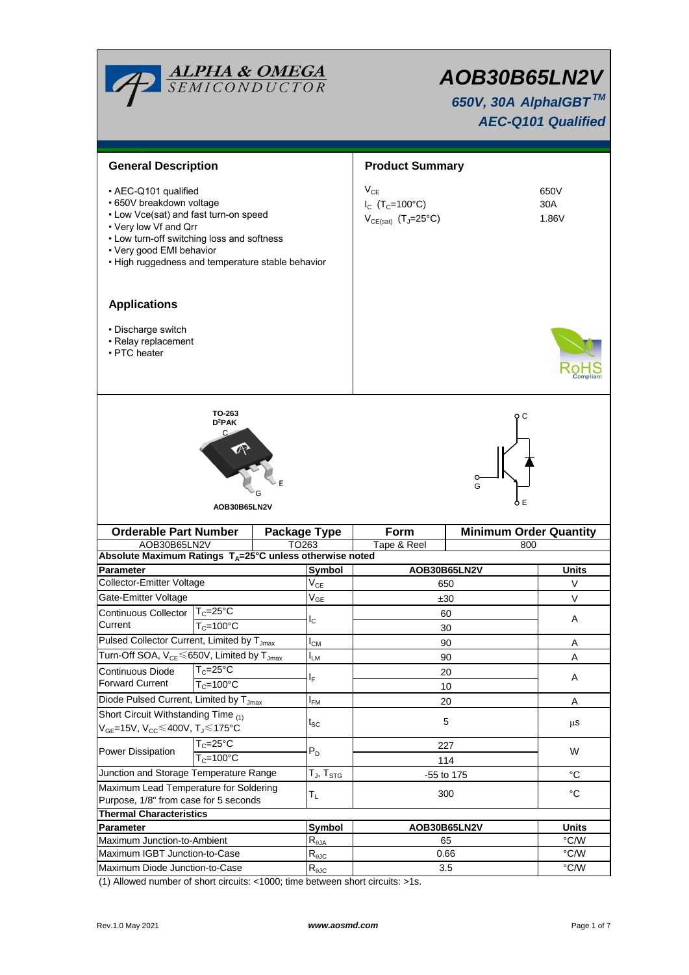

# *AOB30B65LN2V*

 *650V, 30A AlphaIGBT TM AEC-Q101 Qualified*

| <b>General Description</b>                                                                                                                                                                                                                        |                                              |                   |                                                      | <b>Product Summary</b>                                                              |                               |                      |  |  |
|---------------------------------------------------------------------------------------------------------------------------------------------------------------------------------------------------------------------------------------------------|----------------------------------------------|-------------------|------------------------------------------------------|-------------------------------------------------------------------------------------|-------------------------------|----------------------|--|--|
| • AEC-Q101 qualified<br>• 650V breakdown voltage<br>• Low Vce(sat) and fast turn-on speed<br>• Very low Vf and Qrr<br>• Low turn-off switching loss and softness<br>• Very good EMI behavior<br>• High ruggedness and temperature stable behavior |                                              |                   |                                                      | $V_{CE}$<br>$I_{C}$ (T <sub>C</sub> =100°C)<br>$V_{CE(sat)}$ (T <sub>J</sub> =25°C) |                               | 650V<br>30A<br>1.86V |  |  |
| <b>Applications</b>                                                                                                                                                                                                                               |                                              |                   |                                                      |                                                                                     |                               |                      |  |  |
| • Discharge switch<br>• Relay replacement<br>• PTC heater                                                                                                                                                                                         |                                              |                   |                                                      |                                                                                     |                               |                      |  |  |
|                                                                                                                                                                                                                                                   | TO-263<br>D <sup>2</sup> PAK<br>AOB30B65LN2V |                   |                                                      |                                                                                     | o c<br>G<br>ÒΕ                |                      |  |  |
| <b>Orderable Part Number</b><br><b>Package Type</b>                                                                                                                                                                                               |                                              |                   |                                                      | Form                                                                                | <b>Minimum Order Quantity</b> |                      |  |  |
| AOB30B65LN2V                                                                                                                                                                                                                                      |                                              |                   |                                                      |                                                                                     |                               |                      |  |  |
|                                                                                                                                                                                                                                                   |                                              | TO <sub>263</sub> |                                                      | Tape & Reel                                                                         | 800                           |                      |  |  |
| Absolute Maximum Ratings $T_A = 25^\circ \text{C}$ unless otherwise noted                                                                                                                                                                         |                                              |                   |                                                      |                                                                                     |                               |                      |  |  |
| Parameter<br>Collector-Emitter Voltage                                                                                                                                                                                                            |                                              |                   | <b>Symbol</b>                                        | AOB30B65LN2V<br>650                                                                 |                               | <b>Units</b><br>V    |  |  |
| Gate-Emitter Voltage                                                                                                                                                                                                                              |                                              |                   | $V_{CE}$<br>$V_{GE}$                                 | ±30                                                                                 |                               | $\vee$               |  |  |
| Continuous Collector                                                                                                                                                                                                                              | $T_c = 25$ °C                                |                   |                                                      | 60                                                                                  |                               |                      |  |  |
| Current                                                                                                                                                                                                                                           | $T_c = 100^{\circ}C$                         |                   | $I_{\rm C}$                                          | 30                                                                                  |                               | A                    |  |  |
| Pulsed Collector Current, Limited by T <sub>Jmax</sub>                                                                                                                                                                                            |                                              |                   | $I_{CM}$                                             | 90                                                                                  |                               | Α                    |  |  |
| Turn-Off SOA, V <sub>CE</sub> ≤650V, Limited by T <sub>Jmax</sub>                                                                                                                                                                                 |                                              |                   | I <sub>LM</sub>                                      | 90                                                                                  |                               | Α                    |  |  |
| Continuous Diode $T_c = 25^{\circ}C$                                                                                                                                                                                                              |                                              |                   |                                                      | 20                                                                                  |                               |                      |  |  |
| <b>Forward Current</b>                                                                                                                                                                                                                            | $T_c = 100^{\circ}$ C                        |                   | ΙF                                                   | 10                                                                                  |                               | A                    |  |  |
| Diode Pulsed Current, Limited by T <sub>Jmax</sub>                                                                                                                                                                                                |                                              |                   | $I_{FM}$                                             | 20                                                                                  |                               | A                    |  |  |
| Short Circuit Withstanding Time (1)<br>V <sub>GE</sub> =15V, V <sub>CC</sub> ≤400V, Tյ≤175°C                                                                                                                                                      |                                              |                   | $t_{\rm SC}$                                         | 5                                                                                   |                               | μS                   |  |  |
|                                                                                                                                                                                                                                                   | $T_c = 25^{\circ}C$                          |                   |                                                      | 227                                                                                 |                               |                      |  |  |
| Power Dissipation                                                                                                                                                                                                                                 | $T_c = 100^{\circ}$ C                        |                   | $P_D$                                                | 114                                                                                 |                               | W                    |  |  |
| Junction and Storage Temperature Range                                                                                                                                                                                                            |                                              |                   | $\mathsf{T}_{\mathsf{J}}, \mathsf{T}_{\mathsf{STG}}$ | -55 to 175                                                                          |                               | $^{\circ}C$          |  |  |
| Maximum Lead Temperature for Soldering                                                                                                                                                                                                            |                                              |                   |                                                      |                                                                                     |                               |                      |  |  |
| Purpose, 1/8" from case for 5 seconds                                                                                                                                                                                                             |                                              |                   | $T_{L}$                                              | 300                                                                                 |                               | $^{\circ}C$          |  |  |
| <b>Thermal Characteristics</b>                                                                                                                                                                                                                    |                                              |                   |                                                      |                                                                                     |                               |                      |  |  |
| Parameter                                                                                                                                                                                                                                         |                                              |                   | Symbol                                               | AOB30B65LN2V                                                                        |                               | <b>Units</b>         |  |  |
| Maximum Junction-to-Ambient                                                                                                                                                                                                                       |                                              |                   | $R_{\theta$ JA                                       | 65                                                                                  |                               | °C/W                 |  |  |
| Maximum IGBT Junction-to-Case<br>Maximum Diode Junction-to-Case                                                                                                                                                                                   |                                              |                   | $R_{\theta$ JC<br>$R_{\theta$ JC                     | 0.66<br>3.5                                                                         |                               | °C/W<br>°C/W         |  |  |

(1) Allowed number of short circuits: <1000; time between short circuits: >1s.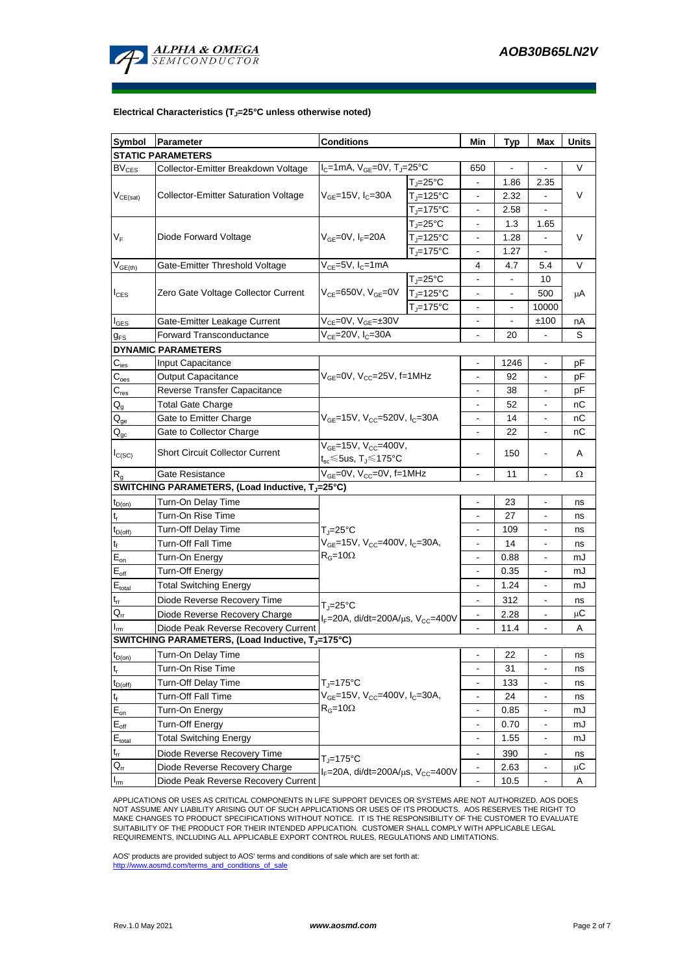

# **Electrical Characteristics (TJ=25°C unless otherwise noted)**

| Symbol                                    | <b>Conditions</b><br>Parameter                                 |                                                                                              | Min                                                | Typ                      | Max                      | Units                    |                 |
|-------------------------------------------|----------------------------------------------------------------|----------------------------------------------------------------------------------------------|----------------------------------------------------|--------------------------|--------------------------|--------------------------|-----------------|
|                                           | <b>STATIC PARAMETERS</b>                                       |                                                                                              |                                                    |                          |                          |                          |                 |
| $BV_{CES}$                                | Collector-Emitter Breakdown Voltage                            |                                                                                              | $I_C = 1$ mA, $V_{GE} = 0V$ , T <sub>J</sub> =25°C |                          |                          |                          | V               |
| $V_{CE(sat)}$                             | <b>Collector-Emitter Saturation Voltage</b>                    |                                                                                              | $T_{\rm J}$ =25°C                                  | $\blacksquare$           | 1.86                     | 2.35                     | V               |
|                                           |                                                                | $V_{GE}$ =15V, I <sub>C</sub> =30A                                                           | $TJ=125°C$                                         | $\overline{\phantom{a}}$ | 2.32                     | $\blacksquare$           |                 |
|                                           |                                                                |                                                                                              | $TJ=175°C$                                         | $\overline{\phantom{a}}$ | 2.58                     | $\blacksquare$           |                 |
| $V_F$                                     | Diode Forward Voltage                                          |                                                                                              | $T_{\rm J}$ =25°C                                  | $\blacksquare$           | 1.3                      | 1.65                     | V               |
|                                           |                                                                | $V_{GF}=0V, I_{F}=20A$                                                                       | $TJ=125°C$                                         | $\overline{\phantom{a}}$ | 1.28                     | $\blacksquare$           |                 |
|                                           |                                                                |                                                                                              | $T_i = 175$ °C                                     | $\overline{\phantom{a}}$ | 1.27                     | $\blacksquare$           |                 |
| $V_{GE(th)}$                              | Gate-Emitter Threshold Voltage                                 | $V_{CE}$ =5V, I <sub>C</sub> =1mA                                                            |                                                    | 4                        | 4.7                      | 5.4                      | V               |
| $I_{CES}$                                 | Zero Gate Voltage Collector Current                            | $V_{CE}$ =650V, $V_{GE}$ =0V                                                                 | $T_{J} = 25^{\circ}C$                              | $\blacksquare$           | $\blacksquare$           | 10                       |                 |
|                                           |                                                                |                                                                                              | $TJ=125°C$                                         | $\blacksquare$           | $\overline{\phantom{a}}$ | 500                      | μA              |
|                                           |                                                                |                                                                                              | $T_i = 175$ °C                                     | $\blacksquare$           | $\overline{\phantom{a}}$ | 10000                    |                 |
| <b>I</b> GES                              | Gate-Emitter Leakage Current                                   | $V_{CE}$ =0V, $V_{GE}$ =±30V                                                                 |                                                    | $\overline{\phantom{a}}$ | $\overline{\phantom{a}}$ | ±100                     | nA              |
| $g_{FS}$                                  | $V_{CE}$ =20V, I <sub>C</sub> =30A<br>Forward Transconductance |                                                                                              |                                                    | $\blacksquare$           | 20                       |                          | S               |
|                                           | <b>DYNAMIC PARAMETERS</b>                                      |                                                                                              |                                                    |                          |                          |                          |                 |
| $C_{\text{ies}}$                          | Input Capacitance                                              |                                                                                              |                                                    | $\blacksquare$           | 1246                     | $\blacksquare$           | рF              |
| $C_{\rm {oes}}$                           | Output Capacitance                                             | $V_{GE}=$ 0V, $V_{CC}=$ 25V, f=1MHz                                                          |                                                    | $\blacksquare$           | 92                       | $\blacksquare$           | рF              |
| $C_{res}$                                 | Reverse Transfer Capacitance                                   |                                                                                              |                                                    | $\overline{\phantom{a}}$ | 38                       | $\blacksquare$           | рF              |
| $\mathsf{Q}_{\mathsf{q}}$                 | <b>Total Gate Charge</b>                                       | $V_{GE}$ =15V, V <sub>CC</sub> =520V, I <sub>C</sub> =30A                                    |                                                    | $\overline{\phantom{a}}$ | 52                       | $\blacksquare$           | nС              |
| $\mathsf{Q}_\mathsf{qe}$                  | Gate to Emitter Charge                                         |                                                                                              |                                                    | $\blacksquare$           | 14                       | $\blacksquare$           | nС              |
| $Q_{gc}$                                  | Gate to Collector Charge                                       |                                                                                              |                                                    | $\blacksquare$           | 22                       | $\blacksquare$           | пC              |
|                                           |                                                                | $V_{GE}$ =15V, $V_{CC}$ =400V,<br>$t_{sc}$ ≤5us, T $_1$ ≤175°C                               |                                                    |                          |                          |                          |                 |
| $I_{C(SC)}$                               | <b>Short Circuit Collector Current</b>                         |                                                                                              |                                                    |                          | 150                      |                          | A               |
| $R_{\alpha}$                              | Gate Resistance                                                | $V_{GE}=$ 0V, $V_{CC}=$ 0V, f=1MHz                                                           |                                                    | $\overline{\phantom{a}}$ | 11                       | $\overline{\phantom{a}}$ | Ω               |
|                                           | SWITCHING PARAMETERS, (Load Inductive, T <sub>J</sub> =25°C)   |                                                                                              |                                                    |                          |                          |                          |                 |
| $t_{D(on)}$                               | Turn-On Delay Time                                             |                                                                                              |                                                    | $\overline{\phantom{a}}$ | 23                       | $\overline{\phantom{a}}$ | ns              |
| t,                                        | Turn-On Rise Time                                              | T <sub>I</sub> =25°C<br>$V_{GE}$ =15V, $V_{CC}$ =400V, $I_C$ =30A,<br>$R_G = 10\Omega$       |                                                    | $\blacksquare$           | 27                       | $\blacksquare$           | ns              |
| $t_{D(off)}$                              | Turn-Off Delay Time                                            |                                                                                              |                                                    | $\overline{\phantom{a}}$ | 109                      | $\blacksquare$           | ns              |
| t                                         | Turn-Off Fall Time                                             |                                                                                              |                                                    | $\overline{\phantom{a}}$ | 14                       | $\blacksquare$           | ns              |
| $E_{on}$                                  | Turn-On Energy                                                 |                                                                                              |                                                    | $\blacksquare$           | 0.88                     | ٠                        | mJ              |
| $E_{\text{off}}$                          | <b>Turn-Off Energy</b>                                         |                                                                                              |                                                    | $\blacksquare$           | 0.35                     | ٠                        | mJ              |
| $E_{\text{total}}$                        | <b>Total Switching Energy</b>                                  |                                                                                              |                                                    | $\blacksquare$           | 1.24                     | ٠                        | mJ              |
| $t_{rr}$                                  | Diode Reverse Recovery Time                                    |                                                                                              |                                                    | $\overline{\phantom{a}}$ | 312                      |                          | ns              |
| $Q_{rr}$                                  | Diode Reverse Recovery Charge                                  | $T = 25^{\circ}C$<br>$I_F = 20A$ , di/dt=200A/ $\mu$ s, V <sub>CC</sub> =400V                |                                                    |                          | 2.28                     |                          | $\mu$ C         |
| $I_{rm}$                                  | Diode Peak Reverse Recovery Current                            |                                                                                              |                                                    |                          | 11.4                     |                          | Α               |
|                                           | SWITCHING PARAMETERS, (Load Inductive, TJ=175°C)               |                                                                                              |                                                    |                          |                          |                          |                 |
| $t_{D(on)}$                               | Turn-On Delay Time                                             |                                                                                              |                                                    | $\overline{\phantom{a}}$ | 22                       | $\frac{1}{2}$            | ns              |
| $\mathsf{t}_{\mathsf{r}}$                 | Turn-On Rise Time                                              | $TJ=175°C$<br>$V_{GE}$ =15V, V <sub>CC</sub> =400V, I <sub>C</sub> =30A,<br>$R_G = 10\Omega$ |                                                    | $\overline{\phantom{a}}$ | 31                       |                          | ns              |
|                                           | Turn-Off Delay Time                                            |                                                                                              |                                                    | $\blacksquare$           | 133                      |                          | ns              |
| $t_{D(off)}$<br>$\mathsf{t}_{\mathsf{f}}$ | Turn-Off Fall Time                                             |                                                                                              |                                                    | $\overline{\phantom{a}}$ | 24                       |                          | ns              |
|                                           |                                                                |                                                                                              |                                                    | $\overline{\phantom{a}}$ | 0.85                     |                          |                 |
| $\mathsf{E}_{\mathsf{on}}$                | Turn-On Energy                                                 |                                                                                              |                                                    | $\overline{\phantom{a}}$ | 0.70                     |                          | mJ              |
| $\mathsf{E}_{\mathsf{off}}$               | <b>Turn-Off Energy</b>                                         |                                                                                              |                                                    |                          |                          |                          | mJ              |
| $\mathsf{E}_{\mathsf{total}}$             | <b>Total Switching Energy</b>                                  |                                                                                              |                                                    | $\overline{\phantom{a}}$ | 1.55                     |                          | mJ              |
| $t_{rr}$                                  | Diode Reverse Recovery Time                                    | $T = 175^{\circ}C$                                                                           |                                                    | $\overline{\phantom{a}}$ | 390                      |                          | ns              |
| $Q_{rr}$                                  | Diode Reverse Recovery Charge                                  | $I_F = 20A$ , di/dt=200A/ $\mu$ s, V <sub>CC</sub> =400V                                     |                                                    |                          | 2.63                     |                          | $\upmu\text{C}$ |
| $\mathsf{I}_{\mathsf{rm}}$                | Diode Peak Reverse Recovery Current                            |                                                                                              |                                                    | $\blacksquare$           | 10.5                     |                          | Α               |

APPLICATIONS OR USES AS CRITICAL COMPONENTS IN LIFE SUPPORT DEVICES OR SYSTEMS ARE NOT AUTHORIZED. AOS DOES NOT ASSUME ANY LIABILITY ARISING OUT OF SUCH APPLICATIONS OR USES OF ITS PRODUCTS. AOS RESERVES THE RIGHT TO MAKE CHANGES TO PRODUCT SPECIFICATIONS WITHOUT NOTICE. IT IS THE RESPONSIBILITY OF THE CUSTOMER TO EVALUATE SUITABILITY OF THE PRODUCT FOR THEIR INTENDED APPLICATION. CUSTOMER SHALL COMPLY WITH APPLICABLE LEGAL REQUIREMENTS, INCLUDING ALL APPLICABLE EXPORT CONTROL RULES, REGULATIONS AND LIMITATIONS.

AOS' products are provided subject to AOS' terms and conditions of sale which are set forth at: http://www.aosmd.com/terms\_and\_conditions\_of\_sale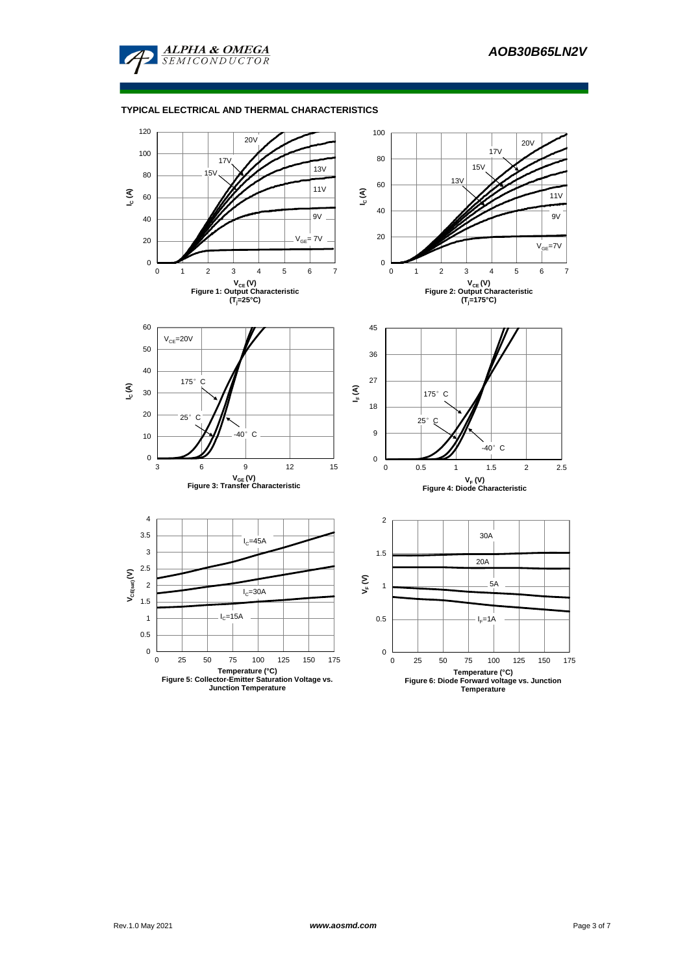

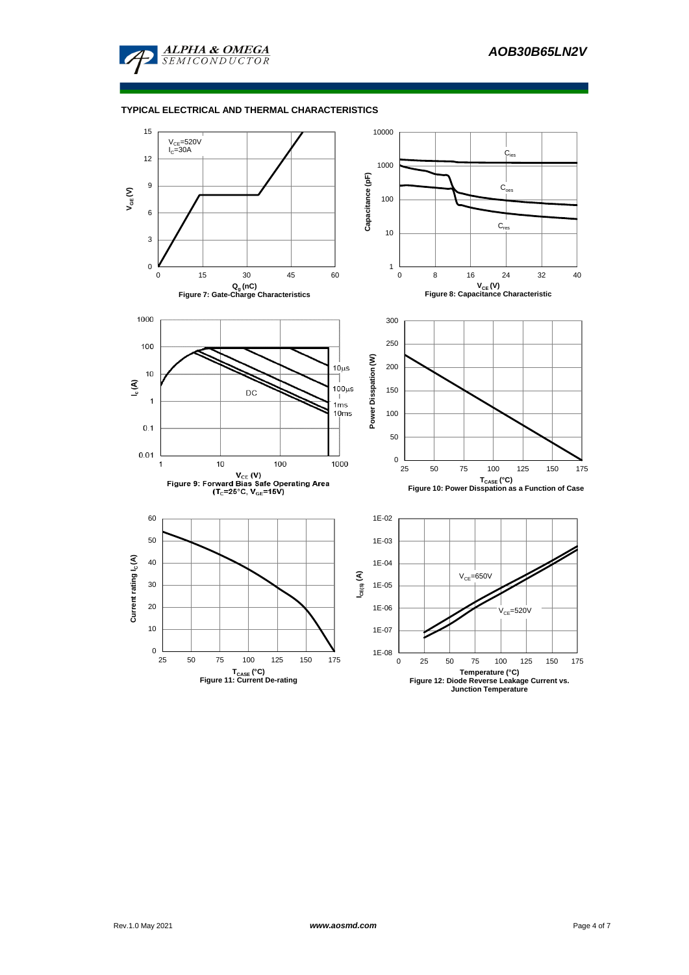

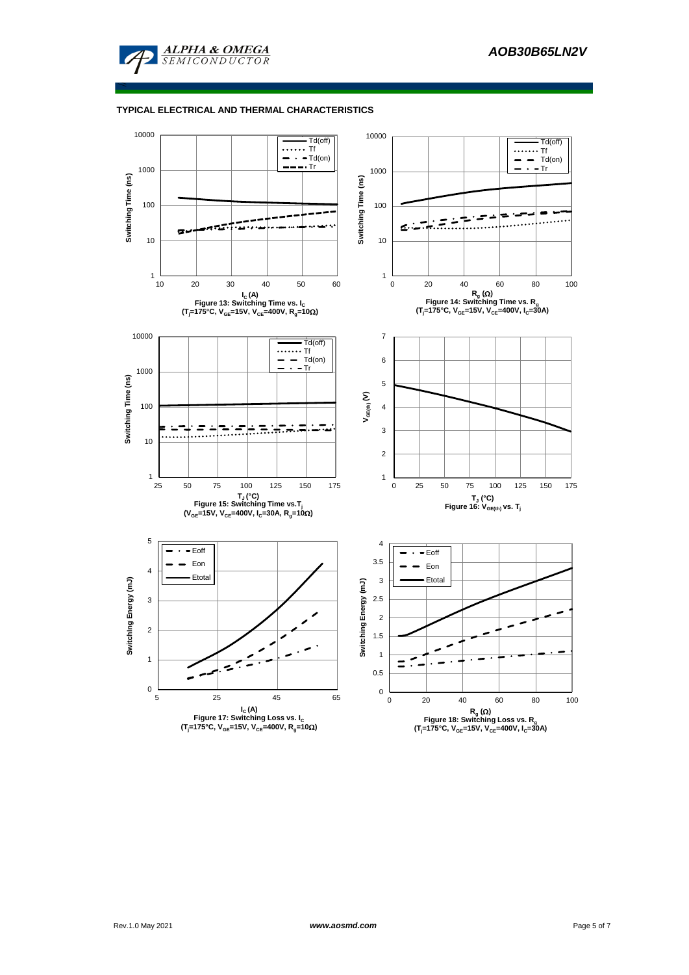

≤

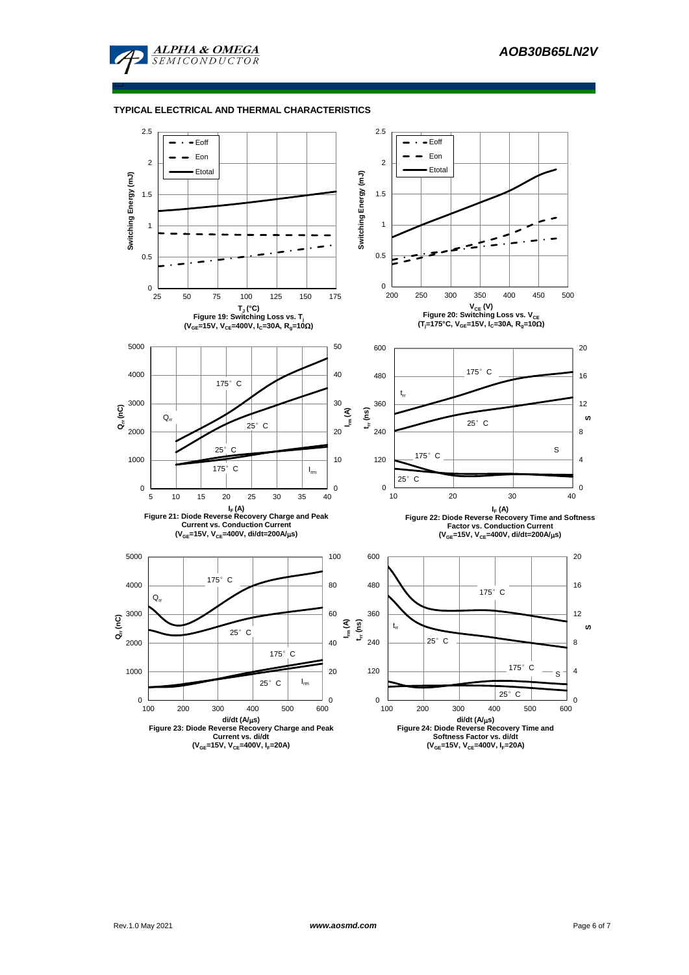

□